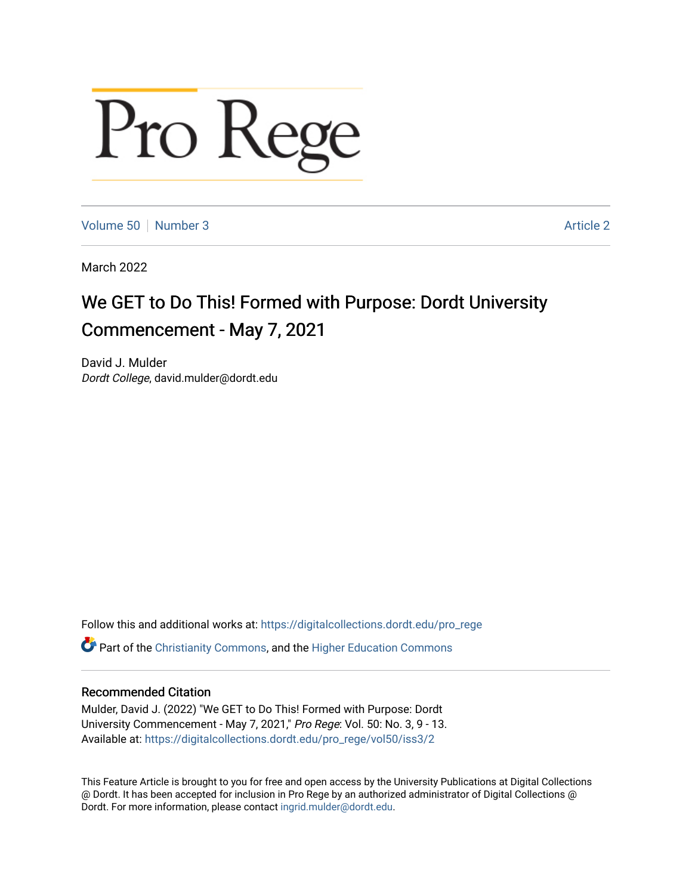# Pro Rege

[Volume 50](https://digitalcollections.dordt.edu/pro_rege/vol50) [Number 3](https://digitalcollections.dordt.edu/pro_rege/vol50/iss3) Article 2

March 2022

## We GET to Do This! Formed with Purpose: Dordt University Commencement - May 7, 2021

David J. Mulder Dordt College, david.mulder@dordt.edu

Follow this and additional works at: [https://digitalcollections.dordt.edu/pro\\_rege](https://digitalcollections.dordt.edu/pro_rege?utm_source=digitalcollections.dordt.edu%2Fpro_rege%2Fvol50%2Fiss3%2F2&utm_medium=PDF&utm_campaign=PDFCoverPages) 

Part of the [Christianity Commons,](http://network.bepress.com/hgg/discipline/1181?utm_source=digitalcollections.dordt.edu%2Fpro_rege%2Fvol50%2Fiss3%2F2&utm_medium=PDF&utm_campaign=PDFCoverPages) and the [Higher Education Commons](http://network.bepress.com/hgg/discipline/1245?utm_source=digitalcollections.dordt.edu%2Fpro_rege%2Fvol50%2Fiss3%2F2&utm_medium=PDF&utm_campaign=PDFCoverPages) 

### Recommended Citation

Mulder, David J. (2022) "We GET to Do This! Formed with Purpose: Dordt University Commencement - May 7, 2021," Pro Rege: Vol. 50: No. 3, 9 - 13. Available at: [https://digitalcollections.dordt.edu/pro\\_rege/vol50/iss3/2](https://digitalcollections.dordt.edu/pro_rege/vol50/iss3/2?utm_source=digitalcollections.dordt.edu%2Fpro_rege%2Fvol50%2Fiss3%2F2&utm_medium=PDF&utm_campaign=PDFCoverPages) 

This Feature Article is brought to you for free and open access by the University Publications at Digital Collections @ Dordt. It has been accepted for inclusion in Pro Rege by an authorized administrator of Digital Collections @ Dordt. For more information, please contact [ingrid.mulder@dordt.edu.](mailto:ingrid.mulder@dordt.edu)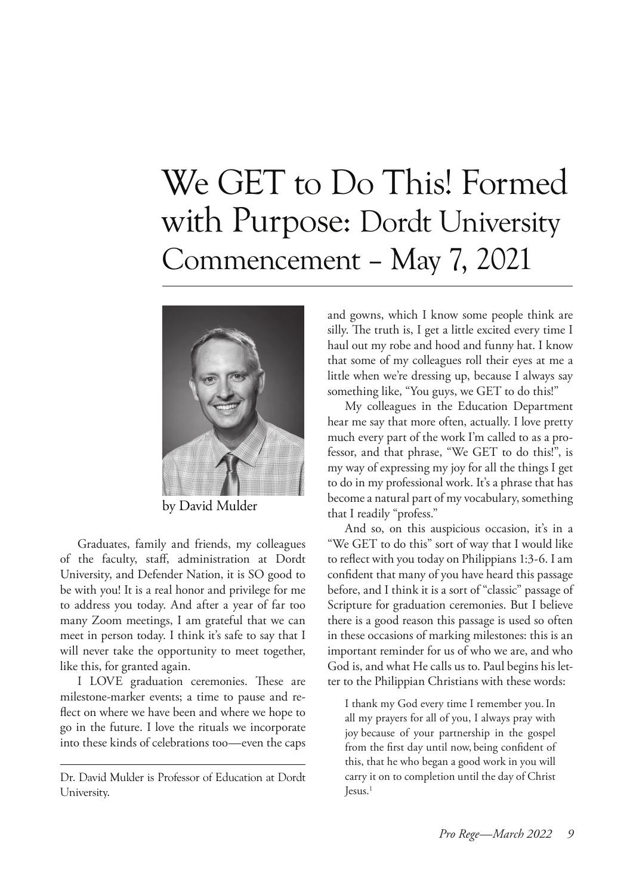# We GET to Do This! Formed with Purpose: Dordt University Commencement – May 7, 2021



by David Mulder

Graduates, family and friends, my colleagues of the faculty, staff, administration at Dordt University, and Defender Nation, it is SO good to be with you! It is a real honor and privilege for me to address you today. And after a year of far too many Zoom meetings, I am grateful that we can meet in person today. I think it's safe to say that I will never take the opportunity to meet together, like this, for granted again.

I LOVE graduation ceremonies. These are milestone-marker events; a time to pause and reflect on where we have been and where we hope to go in the future. I love the rituals we incorporate into these kinds of celebrations too—even the caps and gowns, which I know some people think are silly. The truth is, I get a little excited every time I haul out my robe and hood and funny hat. I know that some of my colleagues roll their eyes at me a little when we're dressing up, because I always say something like, "You guys, we GET to do this!"

My colleagues in the Education Department hear me say that more often, actually. I love pretty much every part of the work I'm called to as a professor, and that phrase, "We GET to do this!", is my way of expressing my joy for all the things I get to do in my professional work. It's a phrase that has become a natural part of my vocabulary, something that I readily "profess."

And so, on this auspicious occasion, it's in a "We GET to do this" sort of way that I would like to reflect with you today on Philippians 1:3-6. I am confident that many of you have heard this passage before, and I think it is a sort of "classic" passage of Scripture for graduation ceremonies. But I believe there is a good reason this passage is used so often in these occasions of marking milestones: this is an important reminder for us of who we are, and who God is, and what He calls us to. Paul begins his letter to the Philippian Christians with these words:

I thank my God every time I remember you.In all my prayers for all of you, I always pray with joy because of your partnership in the gospel from the first day until now, being confident of this, that he who began a good work in you will carry it on to completion until the day of Christ  $Iessus.<sup>1</sup>$ 

Dr. David Mulder is Professor of Education at Dordt University.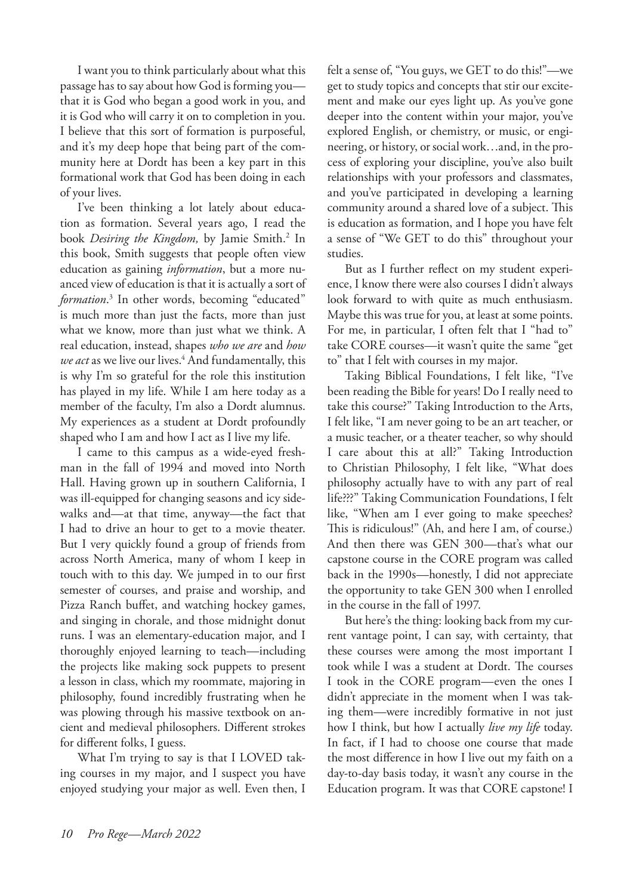I want you to think particularly about what this passage has to say about how God is forming you that it is God who began a good work in you, and it is God who will carry it on to completion in you. I believe that this sort of formation is purposeful, and it's my deep hope that being part of the community here at Dordt has been a key part in this formational work that God has been doing in each of your lives.

I've been thinking a lot lately about education as formation. Several years ago, I read the book *Desiring the Kingdom*, by Jamie Smith.<sup>2</sup> In this book, Smith suggests that people often view education as gaining *information*, but a more nuanced view of education is that it is actually a sort of *formation*. 3 In other words, becoming "educated" is much more than just the facts, more than just what we know, more than just what we think. A real education, instead, shapes *who we are* and *how*  we act as we live our lives.<sup>4</sup> And fundamentally, this is why I'm so grateful for the role this institution has played in my life. While I am here today as a member of the faculty, I'm also a Dordt alumnus. My experiences as a student at Dordt profoundly shaped who I am and how I act as I live my life.

I came to this campus as a wide-eyed freshman in the fall of 1994 and moved into North Hall. Having grown up in southern California, I was ill-equipped for changing seasons and icy sidewalks and—at that time, anyway—the fact that I had to drive an hour to get to a movie theater. But I very quickly found a group of friends from across North America, many of whom I keep in touch with to this day. We jumped in to our first semester of courses, and praise and worship, and Pizza Ranch buffet, and watching hockey games, and singing in chorale, and those midnight donut runs. I was an elementary-education major, and I thoroughly enjoyed learning to teach—including the projects like making sock puppets to present a lesson in class, which my roommate, majoring in philosophy, found incredibly frustrating when he was plowing through his massive textbook on ancient and medieval philosophers. Different strokes for different folks, I guess.

What I'm trying to say is that I LOVED taking courses in my major, and I suspect you have enjoyed studying your major as well. Even then, I felt a sense of, "You guys, we GET to do this!"—we get to study topics and concepts that stir our excitement and make our eyes light up. As you've gone deeper into the content within your major, you've explored English, or chemistry, or music, or engineering, or history, or social work…and, in the process of exploring your discipline, you've also built relationships with your professors and classmates, and you've participated in developing a learning community around a shared love of a subject. This is education as formation, and I hope you have felt a sense of "We GET to do this" throughout your studies.

But as I further reflect on my student experience, I know there were also courses I didn't always look forward to with quite as much enthusiasm. Maybe this was true for you, at least at some points. For me, in particular, I often felt that I "had to" take CORE courses—it wasn't quite the same "get to" that I felt with courses in my major.

Taking Biblical Foundations, I felt like, "I've been reading the Bible for years! Do I really need to take this course?" Taking Introduction to the Arts, I felt like, "I am never going to be an art teacher, or a music teacher, or a theater teacher, so why should I care about this at all?" Taking Introduction to Christian Philosophy, I felt like, "What does philosophy actually have to with any part of real life???" Taking Communication Foundations, I felt like, "When am I ever going to make speeches? This is ridiculous!" (Ah, and here I am, of course.) And then there was GEN 300—that's what our capstone course in the CORE program was called back in the 1990s—honestly, I did not appreciate the opportunity to take GEN 300 when I enrolled in the course in the fall of 1997.

But here's the thing: looking back from my current vantage point, I can say, with certainty, that these courses were among the most important I took while I was a student at Dordt. The courses I took in the CORE program—even the ones I didn't appreciate in the moment when I was taking them—were incredibly formative in not just how I think, but how I actually *live my life* today. In fact, if I had to choose one course that made the most difference in how I live out my faith on a day-to-day basis today, it wasn't any course in the Education program. It was that CORE capstone! I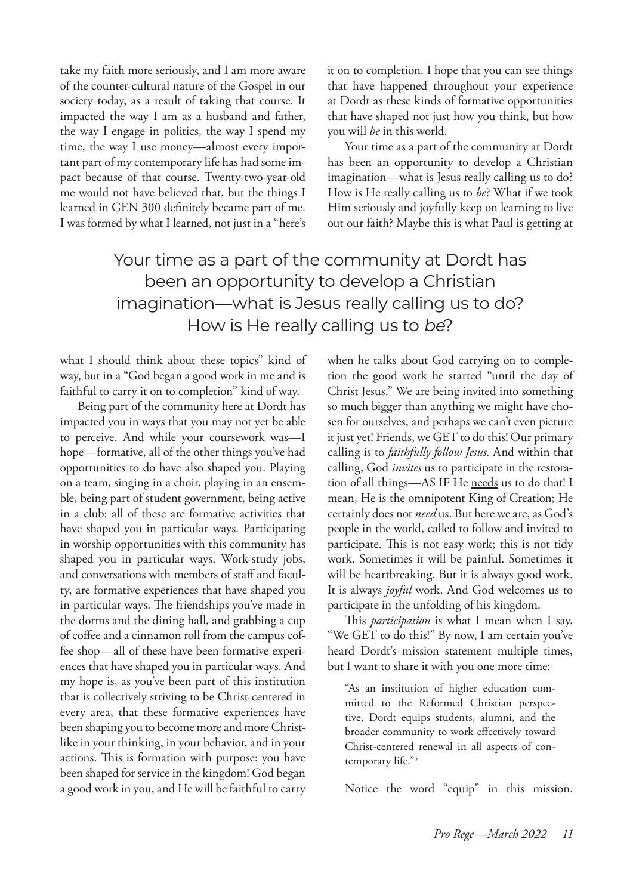take my faith more seriously, and I am more aware of the counter-cultural nature of the Gospel in our society today, as a result of taking that course. It impacted the way I am as a husband and father, the way I engage in politics, the way I spend my time, the way I use money—almost every important part of my contemporary life has had some impact because of that course. Twenty-two-year-old me would not have believed that, but the things I learned in GEN 300 definitely became part of me. I was formed by what I learned, not just in a "here's

it on to completion. I hope that you can see things that have happened throughout your experience at Dordt as these kinds of formative opportunities that have shaped not just how you think, but how you will *be* in this world.

Your time as a part of the community at Dordt has been an opportunity to develop a Christian imagination—what is Jesus really calling us to do? How is He really calling us to *be*? What if we took Him seriously and joyfully keep on learning to live out our faith? Maybe this is what Paul is getting at

## Your time as a part of the community at Dordt has been an opportunity to develop a Christian imagination—what is Jesus really calling us to do? How is He really calling us to be?

what I should think about these topics" kind of way, but in a "God began a good work in me and is faithful to carry it on to completion" kind of way.

Being part of the community here at Dordt has impacted you in ways that you may not yet be able to perceive. And while your coursework was—I hope—formative, all of the other things you've had opportunities to do have also shaped you. Playing on a team, singing in a choir, playing in an ensemble, being part of student government, being active in a club: all of these are formative activities that have shaped you in particular ways. Participating in worship opportunities with this community has shaped you in particular ways. Work-study jobs, and conversations with members of staff and faculty, are formative experiences that have shaped you in particular ways. The friendships you've made in the dorms and the dining hall, and grabbing a cup of coffee and a cinnamon roll from the campus coffee shop—all of these have been formative experiences that have shaped you in particular ways. And my hope is, as you've been part of this institution that is collectively striving to be Christ-centered in every area, that these formative experiences have been shaping you to become more and more Christlike in your thinking, in your behavior, and in your actions. This is formation with purpose: you have been shaped for service in the kingdom! God began a good work in you, and He will be faithful to carry

when he talks about God carrying on to completion the good work he started "until the day of Christ Jesus." We are being invited into something so much bigger than anything we might have chosen for ourselves, and perhaps we can't even picture it just yet! Friends, we GET to do this! Our primary calling is to *faithfully follow Jesus*. And within that calling, God *invites* us to participate in the restoration of all things-AS IF He needs us to do that! I mean, He is the omnipotent King of Creation; He certainly does not *need* us. But here we are, as God's people in the world, called to follow and invited to participate. This is not easy work; this is not tidy work. Sometimes it will be painful. Sometimes it will be heartbreaking. But it is always good work. It is always *joyful* work. And God welcomes us to participate in the unfolding of his kingdom.

This *participation* is what I mean when I say, "We GET to do this!" By now, I am certain you've heard Dordt's mission statement multiple times, but I want to share it with you one more time:

"As an institution of higher education committed to the Reformed Christian perspective, Dordt equips students, alumni, and the broader community to work effectively toward Christ-centered renewal in all aspects of contemporary life."5

Notice the word "equip" in this mission.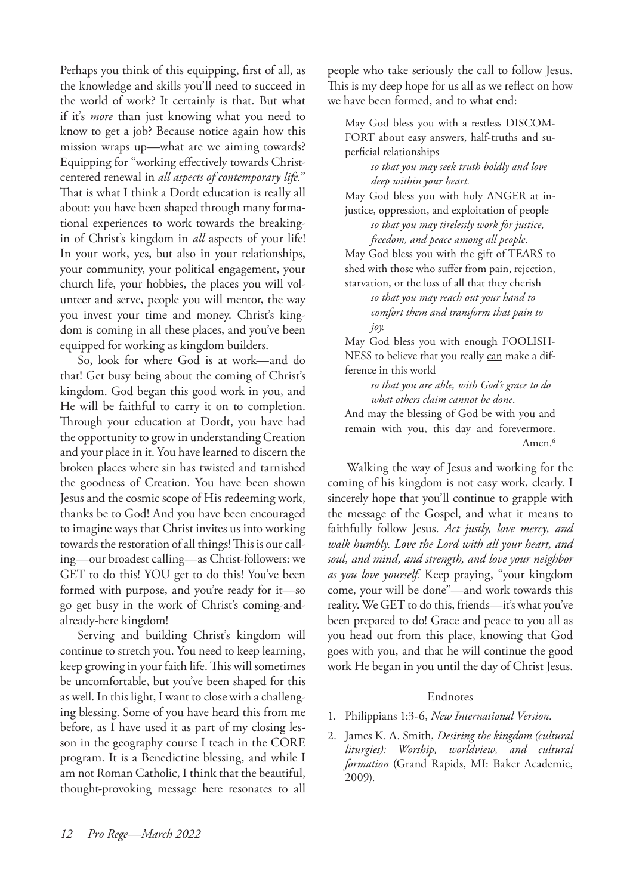Perhaps you think of this equipping, first of all, as the knowledge and skills you'll need to succeed in the world of work? It certainly is that. But what if it's *more* than just knowing what you need to know to get a job? Because notice again how this mission wraps up—what are we aiming towards? Equipping for "working effectively towards Christcentered renewal in *all aspects of contemporary life.*" That is what I think a Dordt education is really all about: you have been shaped through many formational experiences to work towards the breakingin of Christ's kingdom in *all* aspects of your life! In your work, yes, but also in your relationships, your community, your political engagement, your church life, your hobbies, the places you will volunteer and serve, people you will mentor, the way you invest your time and money. Christ's kingdom is coming in all these places, and you've been equipped for working as kingdom builders.

So, look for where God is at work—and do that! Get busy being about the coming of Christ's kingdom. God began this good work in you, and He will be faithful to carry it on to completion. Through your education at Dordt, you have had the opportunity to grow in understanding Creation and your place in it. You have learned to discern the broken places where sin has twisted and tarnished the goodness of Creation. You have been shown Jesus and the cosmic scope of His redeeming work, thanks be to God! And you have been encouraged to imagine ways that Christ invites us into working towards the restoration of all things! This is our calling—our broadest calling—as Christ-followers: we GET to do this! YOU get to do this! You've been formed with purpose, and you're ready for it—so go get busy in the work of Christ's coming-andalready-here kingdom!

Serving and building Christ's kingdom will continue to stretch you. You need to keep learning, keep growing in your faith life. This will sometimes be uncomfortable, but you've been shaped for this as well. In this light, I want to close with a challenging blessing. Some of you have heard this from me before, as I have used it as part of my closing lesson in the geography course I teach in the CORE program. It is a Benedictine blessing, and while I am not Roman Catholic, I think that the beautiful, thought-provoking message here resonates to all people who take seriously the call to follow Jesus. This is my deep hope for us all as we reflect on how we have been formed, and to what end:

May God bless you with a restless DISCOM-FORT about easy answers, half-truths and superficial relationships

> *so that you may seek truth boldly and love deep within your heart.*

May God bless you with holy ANGER at injustice, oppression, and exploitation of people

> *so that you may tirelessly work for justice, freedom, and peace among all people*.

May God bless you with the gift of TEARS to shed with those who suffer from pain, rejection, starvation, or the loss of all that they cherish

*so that you may reach out your hand to comfort them and transform that pain to joy.*

May God bless you with enough FOOLISH-NESS to believe that you really can make a difference in this world

*so that you are able, with God's grace to do what others claim cannot be done*. And may the blessing of God be with you and

remain with you, this day and forevermore. Amen.<sup>6</sup>

Walking the way of Jesus and working for the coming of his kingdom is not easy work, clearly. I sincerely hope that you'll continue to grapple with the message of the Gospel, and what it means to faithfully follow Jesus. *Act justly, love mercy, and walk humbly. Love the Lord with all your heart, and soul, and mind, and strength, and love your neighbor as you love yourself.* Keep praying, "your kingdom come, your will be done"—and work towards this reality. We GET to do this, friends—it's what you've been prepared to do! Grace and peace to you all as you head out from this place, knowing that God goes with you, and that he will continue the good work He began in you until the day of Christ Jesus.

#### Endnotes

- 1. Philippians 1:3-6, *New International Version.*
- 2. James K. A. Smith, *Desiring the kingdom (cultural liturgies): Worship, worldview, and cultural formation* (Grand Rapids, MI: Baker Academic, 2009).